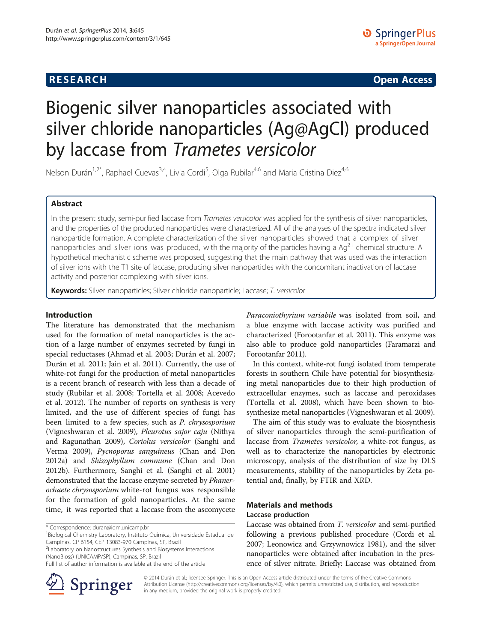# **RESEARCH CHINESE ARCH CHINESE ARCH CHINESE ARCH <b>CHINESE ARCH**

# Biogenic silver nanoparticles associated with silver chloride nanoparticles (Ag@AgCl) produced by laccase from Trametes versicolor

Nelson Durán<sup>1,2\*</sup>, Raphael Cuevas<sup>3,4</sup>, Livia Cordi<sup>5</sup>, Olga Rubilar<sup>4,6</sup> and Maria Cristina Diez<sup>4,6</sup>

# Abstract

In the present study, semi-purified laccase from Trametes versicolor was applied for the synthesis of silver nanoparticles, and the properties of the produced nanoparticles were characterized. All of the analyses of the spectra indicated silver nanoparticle formation. A complete characterization of the silver nanoparticles showed that a complex of silver nanoparticles and silver ions was produced, with the majority of the particles having a  $Ag^{2+}$  chemical structure. A hypothetical mechanistic scheme was proposed, suggesting that the main pathway that was used was the interaction of silver ions with the T1 site of laccase, producing silver nanoparticles with the concomitant inactivation of laccase activity and posterior complexing with silver ions.

Keywords: Silver nanoparticles; Silver chloride nanoparticle; Laccase; T. versicolor

#### Introduction

The literature has demonstrated that the mechanism used for the formation of metal nanoparticles is the action of a large number of enzymes secreted by fungi in special reductases (Ahmad et al. [2003;](#page-5-0) Durán et al. [2007](#page-5-0); Durán et al. [2011;](#page-5-0) Jain et al. [2011](#page-6-0)). Currently, the use of white-rot fungi for the production of metal nanoparticles is a recent branch of research with less than a decade of study (Rubilar et al. [2008](#page-6-0); Tortella et al. [2008;](#page-6-0) Acevedo et al. [2012](#page-5-0)). The number of reports on synthesis is very limited, and the use of different species of fungi has been limited to a few species, such as P. chrysosporium (Vigneshwaran et al. [2009\)](#page-6-0), Pleurotus sajor caju (Nithya and Ragunathan [2009](#page-6-0)), Coriolus versicolor (Sanghi and Verma [2009](#page-6-0)), Pycnoporus sanguineus (Chan and Don [2012a](#page-5-0)) and Shizophyllum commune (Chan and Don [2012b](#page-5-0)). Furthermore, Sanghi et al. (Sanghi et al. [2001](#page-6-0)) demonstrated that the laccase enzyme secreted by Phanerochaete chrysosporium white-rot fungus was responsible for the formation of gold nanoparticles. At the same time, it was reported that a laccase from the ascomycete

<sup>1</sup> Biological Chemistry Laboratory, Instituto Química, Universidade Estadual de Campinas, CP 6154, CEP 13083-970 Campinas, SP, Brazil

<sup>2</sup> Laboratory on Nanostructures Synthesis and Biosystems Interactions (NanoBioss) (UNICAMP/SP), Campinas, SP, Brazil

Full list of author information is available at the end of the article



Paraconiothyrium variabile was isolated from soil, and a blue enzyme with laccase activity was purified and characterized (Forootanfar et al. [2011\)](#page-5-0). This enzyme was also able to produce gold nanoparticles (Faramarzi and Forootanfar [2011\)](#page-5-0).

In this context, white-rot fungi isolated from temperate forests in southern Chile have potential for biosynthesizing metal nanoparticles due to their high production of extracellular enzymes, such as laccase and peroxidases (Tortella et al. [2008\)](#page-6-0), which have been shown to biosynthesize metal nanoparticles (Vigneshwaran et al. [2009](#page-6-0)).

The aim of this study was to evaluate the biosynthesis of silver nanoparticles through the semi-purification of laccase from Trametes versicolor, a white-rot fungus, as well as to characterize the nanoparticles by electronic microscopy, analysis of the distribution of size by DLS measurements, stability of the nanoparticles by Zeta potential and, finally, by FTIR and XRD.

# Materials and methods Laccase production

Laccase was obtained from T. versicolor and semi-purified following a previous published procedure (Cordi et al. [2007](#page-5-0); Leonowicz and Grzywnowicz [1981](#page-6-0)), and the silver nanoparticles were obtained after incubation in the presence of silver nitrate. Briefly: Laccase was obtained from

© 2014 Durán et al.; licensee Springer. This is an Open Access article distributed under the terms of the Creative Commons Attribution License [\(http://creativecommons.org/licenses/by/4.0\)](http://creativecommons.org/licenses/by/4.0), which permits unrestricted use, distribution, and reproduction in any medium, provided the original work is properly credited.

<sup>\*</sup> Correspondence: [duran@iqm.unicamp.br](mailto:duran@iqm.unicamp.br) <sup>1</sup>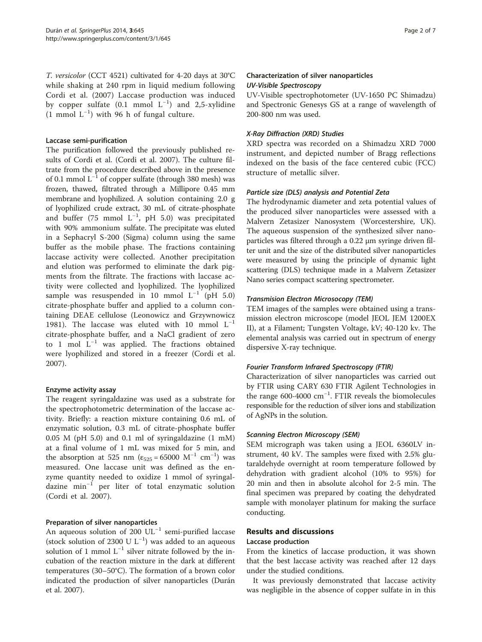T. versicolor (CCT 4521) cultivated for 4-20 days at 30°C while shaking at 240 rpm in liquid medium following Cordi et al. ([2007](#page-5-0)) Laccase production was induced by copper sulfate  $(0.1 \text{ mmol L}^{-1})$  and 2,5-xylidine  $(1 \text{ mmol } L^{-1})$  with 96 h of fungal culture.

#### Laccase semi-purification

The purification followed the previously published results of Cordi et al. (Cordi et al. [2007\)](#page-5-0). The culture filtrate from the procedure described above in the presence of 0.1 mmol  $L^{-1}$  of copper sulfate (through 380 mesh) was frozen, thawed, filtrated through a Millipore 0.45 mm membrane and lyophilized. A solution containing 2.0 g of lyophilized crude extract, 30 mL of citrate-phosphate and buffer (75 mmol  $L^{-1}$ , pH 5.0) was precipitated with 90% ammonium sulfate. The precipitate was eluted in a Sephacryl S-200 (Sigma) column using the same buffer as the mobile phase. The fractions containing laccase activity were collected. Another precipitation and elution was performed to eliminate the dark pigments from the filtrate. The fractions with laccase activity were collected and lyophilized. The lyophilized sample was resuspended in 10 mmol  $L^{-1}$  (pH 5.0) citrate-phosphate buffer and applied to a column containing DEAE cellulose (Leonowicz and Grzywnowicz [1981\)](#page-6-0). The laccase was eluted with 10 mmol  $L^{-1}$ citrate-phosphate buffer, and a NaCl gradient of zero to 1 mol  $L^{-1}$  was applied. The fractions obtained were lyophilized and stored in a freezer (Cordi et al. [2007\)](#page-5-0).

## Enzyme activity assay

The reagent syringaldazine was used as a substrate for the spectrophotometric determination of the laccase activity. Briefly: a reaction mixture containing 0.6 mL of enzymatic solution, 0.3 mL of citrate-phosphate buffer  $0.05$  M (pH 5.0) and 0.1 ml of syringaldazine  $(1 \text{ mM})$ at a final volume of 1 mL was mixed for 5 min, and the absorption at 525 nm ( $\varepsilon_{525} = 65000 \text{ M}^{-1} \text{ cm}^{-1}$ ) was measured. One laccase unit was defined as the enzyme quantity needed to oxidize 1 mmol of syringaldazine min−<sup>1</sup> per liter of total enzymatic solution (Cordi et al. [2007](#page-5-0)).

# Preparation of silver nanoparticles

An aqueous solution of 200 UL−<sup>1</sup> semi-purified laccase (stock solution of 2300 U  $L^{-1}$ ) was added to an aqueous solution of 1 mmol  $L^{-1}$  silver nitrate followed by the incubation of the reaction mixture in the dark at different temperatures (30–50°C). The formation of a brown color indicated the production of silver nanoparticles (Durán et al. [2007\)](#page-5-0).

# Characterization of silver nanoparticles UV-Visible Spectroscopy

UV-Visible spectrophotometer (UV-1650 PC Shimadzu) and Spectronic Genesys GS at a range of wavelength of 200-800 nm was used.

# X-Ray Diffraction (XRD) Studies

XRD spectra was recorded on a Shimadzu XRD 7000 instrument, and depicted number of Bragg reflections indexed on the basis of the face centered cubic (FCC) structure of metallic silver.

## Particle size (DLS) analysis and Potential Zeta

The hydrodynamic diameter and zeta potential values of the produced silver nanoparticles were assessed with a Malvern Zetasizer Nanosystem (Worcestershire, UK). The aqueous suspension of the synthesized silver nanoparticles was filtered through a 0.22 μm syringe driven filter unit and the size of the distributed silver nanoparticles were measured by using the principle of dynamic light scattering (DLS) technique made in a Malvern Zetasizer Nano series compact scattering spectrometer.

#### Transmision Electron Microsocopy (TEM)

TEM images of the samples were obtained using a transmission electron microscope (model JEOL JEM 1200EX II), at a Filament; Tungsten Voltage, kV; 40-120 kv. The elemental analysis was carried out in spectrum of energy dispersive X-ray technique.

## Fourier Transform Infrared Spectroscopy (FTIR)

Characterization of silver nanoparticles was carried out by FTIR using CARY 630 FTIR Agilent Technologies in the range 600-4000 cm−<sup>1</sup> . FTIR reveals the biomolecules responsible for the reduction of silver ions and stabilization of AgNPs in the solution.

## Scanning Electron Microscopy (SEM)

SEM micrograph was taken using a JEOL 6360LV instrument, 40 kV. The samples were fixed with 2.5% glutaraldehyde overnight at room temperature followed by dehydration with gradient alcohol (10% to 95%) for 20 min and then in absolute alcohol for 2-5 min. The final specimen was prepared by coating the dehydrated sample with monolayer platinum for making the surface conducting.

# Results and discussions

#### Laccase production

From the kinetics of laccase production, it was shown that the best laccase activity was reached after 12 days under the studied conditions.

It was previously demonstrated that laccase activity was negligible in the absence of copper sulfate in in this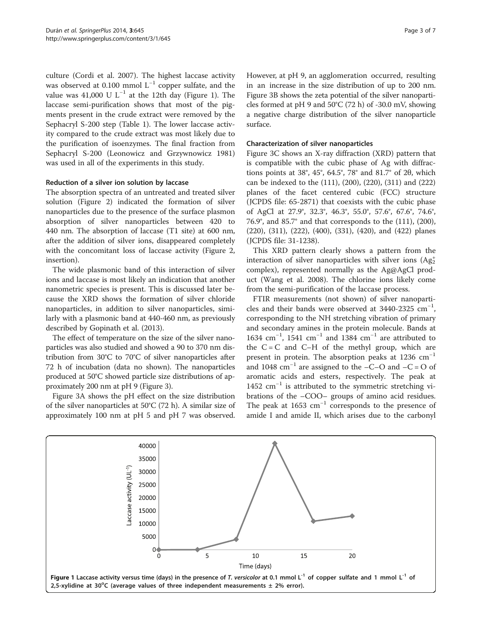<span id="page-2-0"></span>culture (Cordi et al. [2007](#page-5-0)). The highest laccase activity was observed at 0.100 mmol L<sup>-1</sup> copper sulfate, and the value was 41,000 U L<sup>-1</sup> at the 12th day (Figure 1). The laccase semi-purification shows that most of the pigments present in the crude extract were removed by the Sephacryl S-200 step (Table [1\)](#page-3-0). The lower laccase activity compared to the crude extract was most likely due to the purification of isoenzymes. The final fraction from Sephacryl S-200 (Leonowicz and Grzywnowicz [1981](#page-6-0)) was used in all of the experiments in this study.

#### Reduction of a silver ion solution by laccase

The absorption spectra of an untreated and treated silver solution (Figure [2](#page-3-0)) indicated the formation of silver nanoparticles due to the presence of the surface plasmon absorption of silver nanoparticles between 420 to 440 nm. The absorption of laccase (T1 site) at 600 nm, after the addition of silver ions, disappeared completely with the concomitant loss of laccase activity (Figure [2](#page-3-0), insertion).

The wide plasmonic band of this interaction of silver ions and laccase is most likely an indication that another nanometric species is present. This is discussed later because the XRD shows the formation of silver chloride nanoparticles, in addition to silver nanoparticles, similarly with a plasmonic band at 440-460 nm, as previously described by Gopinath et al. ([2013\)](#page-6-0).

The effect of temperature on the size of the silver nanoparticles was also studied and showed a 90 to 370 nm distribution from 30°C to 70°C of silver nanoparticles after 72 h of incubation (data no shown). The nanoparticles produced at 50°C showed particle size distributions of approximately 200 nm at pH 9 (Figure [3\)](#page-4-0).

Figure [3](#page-4-0)A shows the pH effect on the size distribution of the silver nanoparticles at 50°C (72 h). A similar size of approximately 100 nm at pH 5 and pH 7 was observed. However, at pH 9, an agglomeration occurred, resulting in an increase in the size distribution of up to 200 nm. Figure [3B](#page-4-0) shows the zeta potential of the silver nanoparticles formed at pH 9 and 50°C (72 h) of -30.0 mV, showing a negative charge distribution of the silver nanoparticle surface.

### Characterization of silver nanoparticles

Figure [3C](#page-4-0) shows an X-ray diffraction (XRD) pattern that is compatible with the cubic phase of Ag with diffractions points at 38°, 45°, 64.5°, 78° and 81.7° of 2θ, which can be indexed to the (111), (200), (220), (311) and (222) planes of the facet centered cubic (FCC) structure (JCPDS file: 65-2871) that coexists with the cubic phase of AgCl at 27.9°, 32.3°, 46.3°, 55.0°, 57.6°, 67.6°, 74.6°, 76.9°, and 85.7° and that corresponds to the (111), (200), (220), (311), (222), (400), (331), (420), and (422) planes (JCPDS file: 31-1238).

This XRD pattern clearly shows a pattern from the interaction of silver nanoparticles with silver ions  $(Ag_2^+)$ complex), represented normally as the Ag@AgCl product (Wang et al. [2008](#page-6-0)). The chlorine ions likely come from the semi-purification of the laccase process.

FTIR measurements (not shown) of silver nanoparticles and their bands were observed at 3440-2325  $cm^{-1}$ , corresponding to the NH stretching vibration of primary and secondary amines in the protein molecule. Bands at 1634 cm−<sup>1</sup> , 1541 cm−<sup>1</sup> and 1384 cm−<sup>1</sup> are attributed to the  $C = C$  and  $C-H$  of the methyl group, which are present in protein. The absorption peaks at 1236  $cm^{-1}$ and 1048 cm<sup>-1</sup> are assigned to the –C–O and –C = O of aromatic acids and esters, respectively. The peak at 1452  $cm^{-1}$  is attributed to the symmetric stretching vibrations of the –COO– groups of amino acid residues. The peak at 1653  $cm^{-1}$  corresponds to the presence of amide I and amide II, which arises due to the carbonyl

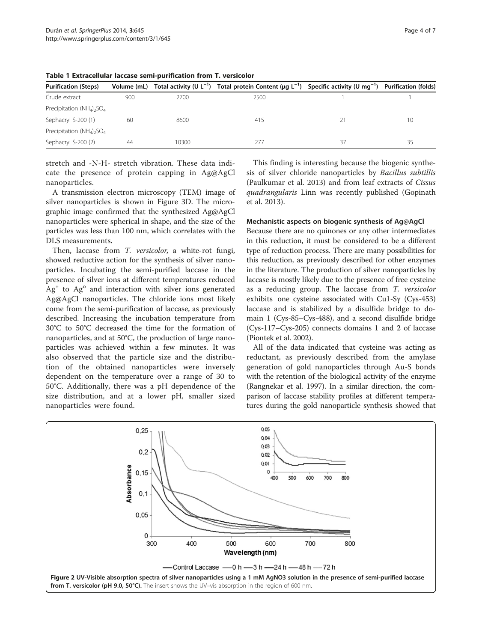| <b>Purification (Steps)</b>                         | Volume (mL) |       | Total activity (U L <sup>-1</sup> ) Total protein Content (µg L <sup>-1</sup> ) Specific activity (U mg <sup>-1</sup> ) Purification (folds) |    |    |
|-----------------------------------------------------|-------------|-------|----------------------------------------------------------------------------------------------------------------------------------------------|----|----|
| Crude extract                                       | 900         | 2700  | 2500                                                                                                                                         |    |    |
| Precipitation $(NH_4)$ <sub>2</sub> SO <sub>4</sub> |             |       |                                                                                                                                              |    |    |
| Sephacryl S-200 (1)                                 | 60          | 8600  | 415                                                                                                                                          |    | 10 |
| Precipitation $(NH_4)$ <sub>2</sub> SO <sub>4</sub> |             |       |                                                                                                                                              |    |    |
| Sephacryl S-200 (2)                                 | 44          | 10300 | 277                                                                                                                                          | 37 | 35 |

<span id="page-3-0"></span>Table 1 Extracellular laccase semi-purification from T. versicolor

stretch and -N-H- stretch vibration. These data indicate the presence of protein capping in Ag@AgCl nanoparticles.

A transmission electron microscopy (TEM) image of silver nanoparticles is shown in Figure [3](#page-4-0)D. The micrographic image confirmed that the synthesized Ag@AgCl nanoparticles were spherical in shape, and the size of the particles was less than 100 nm, which correlates with the DLS measurements.

Then, laccase from T. versicolor, a white-rot fungi, showed reductive action for the synthesis of silver nanoparticles. Incubating the semi-purified laccase in the presence of silver ions at different temperatures reduced  $Ag<sup>+</sup>$  to  $Ag<sup>o</sup>$  and interaction with silver ions generated Ag@AgCl nanoparticles. The chloride ions most likely come from the semi-purification of laccase, as previously described. Increasing the incubation temperature from 30°C to 50°C decreased the time for the formation of nanoparticles, and at 50°C, the production of large nanoparticles was achieved within a few minutes. It was also observed that the particle size and the distribution of the obtained nanoparticles were inversely dependent on the temperature over a range of 30 to 50°C. Additionally, there was a pH dependence of the size distribution, and at a lower pH, smaller sized nanoparticles were found.

This finding is interesting because the biogenic synthesis of silver chloride nanoparticles by Bacillus subtillis (Paulkumar et al. [2013](#page-6-0)) and from leaf extracts of Cissus quadrangularis Linn was recently published (Gopinath et al. [2013\)](#page-6-0).

#### Mechanistic aspects on biogenic synthesis of Ag@AgCl

Because there are no quinones or any other intermediates in this reduction, it must be considered to be a different type of reduction process. There are many possibilities for this reduction, as previously described for other enzymes in the literature. The production of silver nanoparticles by laccase is mostly likely due to the presence of free cysteine as a reducing group. The laccase from T. versicolor exhibits one cysteine associated with Cu1-Sγ (Cys-453) laccase and is stabilized by a disulfide bridge to domain 1 (Cys-85–Cys-488), and a second disulfide bridge (Cys-117–Cys-205) connects domains 1 and 2 of laccase (Piontek et al. [2002\)](#page-6-0).

All of the data indicated that cysteine was acting as reductant, as previously described from the amylase generation of gold nanoparticles through Au-S bonds with the retention of the biological activity of the enzyme (Rangnekar et al. [1997\)](#page-6-0). In a similar direction, the comparison of laccase stability profiles at different temperatures during the gold nanoparticle synthesis showed that

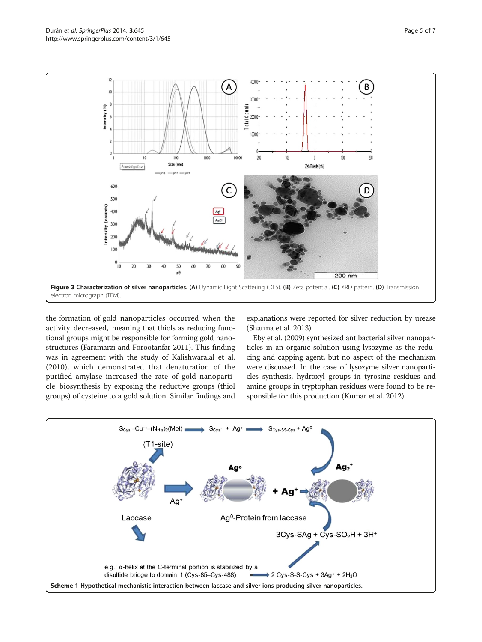<span id="page-4-0"></span>

the formation of gold nanoparticles occurred when the activity decreased, meaning that thiols as reducing functional groups might be responsible for forming gold nanostructures (Faramarzi and Forootanfar [2011](#page-5-0)). This finding was in agreement with the study of Kalishwaralal et al. ([2010\)](#page-6-0), which demonstrated that denaturation of the purified amylase increased the rate of gold nanoparticle biosynthesis by exposing the reductive groups (thiol groups) of cysteine to a gold solution. Similar findings and explanations were reported for silver reduction by urease (Sharma et al. [2013\)](#page-6-0).

Eby et al. [\(2009\)](#page-5-0) synthesized antibacterial silver nanoparticles in an organic solution using lysozyme as the reducing and capping agent, but no aspect of the mechanism were discussed. In the case of lysozyme silver nanoparticles synthesis, hydroxyl groups in tyrosine residues and amine groups in tryptophan residues were found to be responsible for this production (Kumar et al. [2012](#page-6-0)).

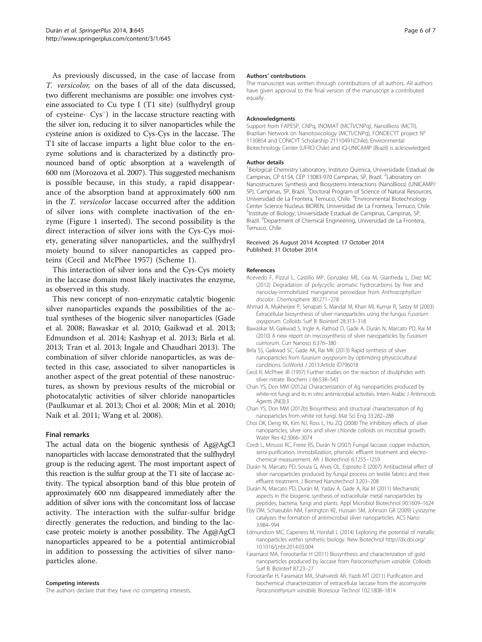<span id="page-5-0"></span>As previously discussed, in the case of laccase from T. versicolor, on the bases of all of the data discussed, two different mechanisms are possible: one involves cysteine associated to Cu type I (T1 site) (sulfhydryl group of cysteine- Cys<sup>−</sup> ) in the laccase structure reacting with the silver ion, reducing it to silver nanoparticles while the cysteine anion is oxidized to Cys-Cys in the laccase. The T1 site of laccase imparts a light blue color to the enzyme solutions and is characterized by a distinctly pronounced band of optic absorption at a wavelength of 600 nm (Morozova et al. [2007](#page-6-0)). This suggested mechanism is possible because, in this study, a rapid disappearance of the absorption band at approximately 600 nm in the T. versicolor laccase occurred after the addition of silver ions with complete inactivation of the enzyme (Figure [1](#page-2-0) inserted). The second possibility is the direct interaction of silver ions with the Cys-Cys moiety, generating silver nanoparticles, and the sulfhydryl moiety bound to silver nanoparticles as capped proteins (Cecil and McPhee 1957) (Scheme [1](#page-4-0)).

This interaction of silver ions and the Cys-Cys moiety in the laccase domain most likely inactivates the enzyme, as observed in this study.

This new concept of non-enzymatic catalytic biogenic silver nanoparticles expands the possibilities of the actual syntheses of the biogenic silver nanoparticles (Gade et al. [2008;](#page-6-0) Bawaskar et al. 2010; Gaikwad et al. [2013](#page-6-0); Edmundson et al. 2014; Kashyap et al. [2013](#page-6-0); Birla et al. 2013; Tran et al. [2013](#page-6-0); Ingale and Chaudhari [2013\)](#page-6-0). The combination of silver chloride nanoparticles, as was detected in this case, associated to silver nanoparticles is another aspect of the great potential of these nanostructures, as shown by previous results of the microbial or photocatalytic activities of silver chloride nanoparticles (Paulkumar et al. [2013;](#page-6-0) Choi et al. 2008; Min et al. [2010](#page-6-0); Naik et al. [2011](#page-6-0); Wang et al. [2008\)](#page-6-0).

#### Final remarks

The actual data on the biogenic synthesis of Ag@AgCl nanoparticles with laccase demonstrated that the sulfhydryl group is the reducing agent. The most important aspect of this reaction is the sulfur group at the T1 site of laccase activity. The typical absorption band of this blue protein of approximately 600 nm disappeared immediately after the addition of silver ions with the concomitant loss of laccase activity. The interaction with the sulfur-sulfur bridge directly generates the reduction, and binding to the laccase proteic moiety is another possibility. The Ag@AgCl nanoparticles appeared to be a potential antimicrobial in addition to possessing the activities of silver nanoparticles alone.

#### Competing interests

The authors declare that they have no competing interests.

#### Authors' contributions

The manuscript was written through contributions of all authors. All authors have given approval to the final version of the manuscript a contributed equally.

#### Acknowledgments

Support from FAPESP, CNPq, INOMAT (MCTI/CNPq), NanoBioss (MCTI), Brazilian Network on Nanotoxicology (MCTI/CNPq), FONDECYT project N° 1130854 and CONICYT Scholarship 21110491(Chile), Environmental Biotechnology Center (UFRO-Chile) and IQ-UNICAMP (Brazil) is acknowledged.

#### Author details

<sup>1</sup>Biological Chemistry Laboratory, Instituto Química, Universidade Estadual de Campinas, CP 6154, CEP 13083-970 Campinas, SP, Brazil. <sup>2</sup>Laboratory on Nanostructures Synthesis and Biosystems Interactions (NanoBioss) (UNICAMP/ SP), Campinas, SP, Brazil. <sup>3</sup>Doctoral Program of Science of Natural Resources, Universidad de La Frontera, Temuco, Chile. <sup>4</sup>Environmental Biotechnology Center Science Nucleus BIOREN, Universidad de La Frontera, Temuco, Chile. 5 Institute of Biology, Universidade Estadual de Campinas, Campinas, SP, Brazil. <sup>6</sup>Department of Chemical Engineering, Universidad de La Frontera, Temuco, Chile.

#### Received: 26 August 2014 Accepted: 17 October 2014 Published: 31 October 2014

#### References

- Acevedo F, Pizzul L, Castillo MP, González ME, Cea M, Gianfreda L, Diez MC (2012) Degradation of polycyclic aromatic hydrocarbons by free and nanoclay-immobilized manganese peroxidase from Anthracophyllum discolor. Chemosphere 80:271–278
- Ahmad A, Mukherjee P, Senapati S, Mandal M, Khan MI, Kumar R, Sastry M (2003) Extracellular biosynthesis of silver nanoparticles using the fungus Fusarium oxysporum. Colloids Surf B: Biointerf 28:313–318
- Bawaskar M, Gaikwad S, Ingle A, Rathod D, Gade A, Durán N, Marcato PD, Rai M (2010) A new report on mycosynthesis of silver nanoparticles by Fusarium culmorum. Curr Nanosci 6:376–380
- Birla SS, Gaikwad SC, Gade AK, Rai MK (2013) Rapid synthesis of silver nanoparticles from fusarium oxysporum by optimizing physicocultural conditions. SciWorld J 2013:Article ID796018
- Cecil R, McPhee JR (1957) Further studies on the reaction of disulphides with silver nitrate. Biochem J 66:538–543
- Chan YS, Don MM (2012a) Characterization of Ag nanoparticles produced by white-rot fungi and its in vitro antimicrobial activities. Intern Arabic J Antimicrob Agents 2N(3):3
- Chan YS, Don MM (2012b) Biosynthesis and structural characterization of Ag nanoparticles from white rot fungi. Mat Sci Eng 33:282–288
- Choi OK, Deng KK, Kim NJ, Ross L, Hu ZQ (2008) The inhibitory effects of silver nanoparticles, silver ions and silver chloride colloids on microbial growth. Water Res 42:3066–3074
- Cordi L, Minussi RC, Freire RS, Durán N (2007) Fungal laccase: copper induction, semi-purification, immobilization, phenolic effluent treatment and electrochemical measurement. Afr J Biotechnol 6:1255–1259
- Durán N, Marcato PD, Souza G, Alves OL, Esposito E (2007) Antibacterial effect of silver nanoparticles produced by fungal process on textile fabrics and their effluent treatment. J Biomed Nanotechnol 3:203–208
- Durán N, Marcato PD, Durán M, Yadav A, Gade A, Rai M (2011) Mechanistic aspects in the biogenic synthesis of extracellular metal nanoparticles by peptides, bacteria, fungi and plants. Appl Microbiol Biotechnol 90:1609–1624
- Eby DM, Schaeublin NM, Farrington KE, Hussain SM, Johnson GR (2009) Lysozyme catalyzes the formation of antimicrobial silver nanoparticles. ACS Nano 3:984–994
- Edmundson MC, Capeness M, Horsfall L (2014) Exploring the potential of metallic nanoparticles within synthetic biology. New Biotechnol [http://dx.doi.org/](http://dx.doi.org/10.1016/j.nbt.2014.03.004) [10.1016/j.nbt.2014.03.004](http://dx.doi.org/10.1016/j.nbt.2014.03.004)
- Faramarzi MA, Forootanfar H (2011) Biosynthesis and characterization of gold nanoparticles produced by laccase from Paraconiothyrium variabile. Colloids Surf B: Biointerf 87:23–27
- Forootanfar H, Faramarzi MA, Shahverdi AR, Yazdi MT (2011) Purification and biochemical characterization of extracellular laccase from the ascomycete Paraconiothyrium variabile. Bioresour Technol 102:1808–1814